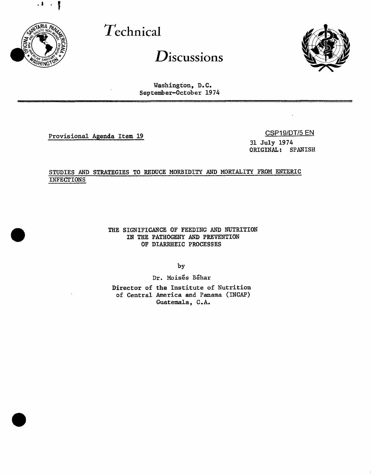

# Technical

Discussions



Washington, D.C. September-October 1974

Provisional Agenda Item 19

CSP19/DT/5 EN

 $\overline{a}$ 

31 July 1974 ORIGINAL: SPANISH

# STUDIES AND STRATEGIES TO REDUCE MORBIDITY AND MORTALITY FROM ENTERIC **INFECTIONS**

THE SIGNIFICANCE OF FEEDING AND NUTRITION IN THE PATHOGENY AND PREVENTION OF DIARRHEIC PROCESSES

by

Dr. Moisés Béhar

Director of the Institute of Nutrition of Central America and Panama (INCAP) Guatemala, C.A.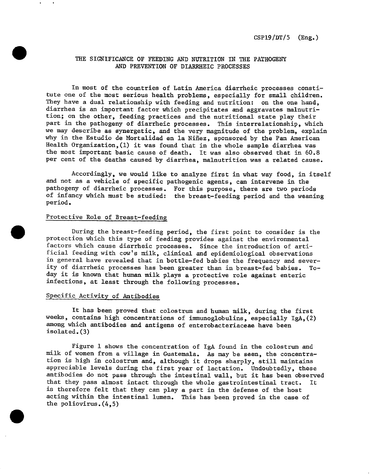#### THE SIGNIFICANCE OF FEE**D**ING AND NUTRITION IN THE PATHOGENY AND PREVENTION OF DIARRHEIC PROCESSES

In most of the countries of Latin America diarrheic processes constitute one of the most serious health problems, especially for small children. They have a dual relationship with feeding and nutrition: on the one hand, diarrhea is an important factor which precipitates and aggravates malnutrition; on the other, feeding practices and the nutritional state play their part in the pathogeny of diarrheic processes. This interrelationship, which we may describe as synergetic, and the very magnitude of the problem, explain why in the Estudio de Mortalidad en la Niñez, sponsored by the Pan American Health Organization,(1) it was found that in the whole sample diarrhea was the most important basic cause of death. It was also observed that in 60.8 per cent of the deaths caused by diarrhea, malnutrition was a related cause.

Accordingly, we would like to analyze first in what way food, in itself and not as a vehicle of specific pathogenic agents, can intervene in the pathogeny of diarrheic processes. For this purpose, there are two periods of infancy which must be studied: the breast-feeding period and the weaning period.

## Protective Role of Breast-feeding

During the breast-feeding period, the first point to consider is the protection which this type of feeding provides against the environmental factors which cause diarrheic processes. Since the introduction of artificial feeding with cow's milk, clinical and epidemiological observations in general have revealed that in bottle-fed babies the frequency and sever-<br>ity of diarrheic processes has been greater than in breast-fed babies. Toity of diarrheic processes has been greater than in breast-fed babies. day it is known that human milk plays a protective role against enteric infections, at least through the following processes.

#### Specific Activity of A**nt**ibodies

It has been proved that colostrum and human milk, during the first weeks, contains high concentrations of immunoglobulins, especially IgA,(2) among which antibodies and antigens of enterobacteriaceae have been isolated. (3)

Figure 1 shows the concentration of IgA found in the colostrum and milk of women from a village in Guatemala. As may be seen, the concentration is high in colostrum and, although it drops sharply, still maintains appreciable levels during the first year of lactation. Undoubtedly, these antibodies do not pass through the intestinal wall, but it has been observed that they pass almost intact through the whole gastrointestinal tract. It is therefore felt that they can play a part in the defense of the host acting within the intestinal lumen. This has been proved in the case of the poliovirus. (4,5)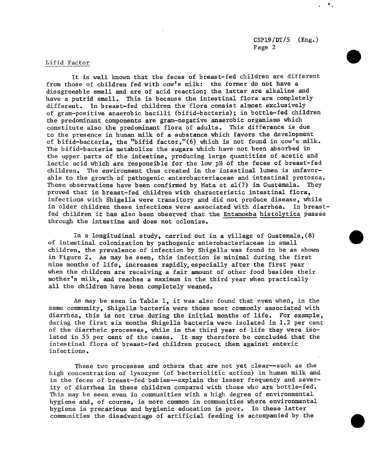#### Bifid Factor

It is well known that the feces of breast-fed children are different from those of children fed with cow's milk: the former do not have a disagreeable smell and are of acid reaction; the latter are alkaline and have a putrid smell. This is because the intestinal flora are completely different. In breast-fed children the flora consist almost exclusively of gram-positive anaerobic bacilli (bifid-bacteria); in bottle-fed children the predominant components are gram-negative anaerobic organisms which constitute also the predominant flora of adults. This difference is due to the presence in human milk of a substance which favors the development of bifid-bacteria, the "bifid factor,"(6) which is not found in cow's milk. The bifid-bacteria metabolize the sugars which have not been absorbed in the upper parts of the intestine, producing large quantities of acetic and lactic acid which are responsible for the low pH of the feces of breast-fed children. The environment thus created in the intestinal lumen is unfavorable to the growth of pathogenic enterobacteriaceae and intestinal protozoa. These observations have been confirmed by Mata et  $a(7)$  in Guatemala. They proved that in breast-fed children with characteristic intestinal flora, infections with Shigella were transitory and did not produce disease, while in older children these infections were associated with diarrhea. In breastfed children it has also been observed that the Entamoeba histolytica passes through the intestine and does not colonize.

In a longitudinal study, carried out in a village of Guatemala,(8) of intestinal colonization by pathogenic enterobacteriaceae in small children, the prevalence of infection by Shigella was found to be as shown in Figure 2. As may be seen, this infection is minimal during the first nine months of life, increases rapidly, especially after the first year when the children are receiving a fair amount of other food besides their mother's milk, and reaches a maximum in the third year when practically all the children have been completely weaned.

As may be seen in Table i, it was also found that even when, in the same community, Shigella bacteria were those most commonly associated with diarrhea, this is not true during the initial months of life. For example, during the first six months Shigella bacteria were isolated in 1.2 per cent of the diarrheic processes, while in the third year of life they were isolated in 55 per cent of the cases. It may therefore be concluded that the intestinal flora of breast-fed children protect them against enteric infections.

These two processes and others that are not yet clear--such as the high concentration of lysozyme (of bacteriolitic action) in human milk and in the feces of breast-fed babies--explain the lesser frequency and severity of diarrhea in these children compared with those who are bottle-fed. This may be seen even in communities with a high degree of environmental hygiene and, of course, is more common in communities where environmental hygiene is precarious and hygienic education is poor. In these latter communities the disadvantage of artificial feeding is accompanied by the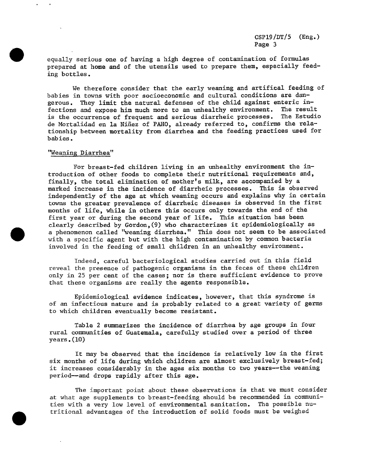equally serious one of h**a**ving a high degree of contamination of formul**a**s prepared at hom**e** and of the utensils used to prepare them, espe**c**ially fe**e**ding bottles.

We therefore consider that the early weaning and artific**a**l f**e**eding of babies in towns with poor socioeconomic and cultural conditions are dangerous. They limit th**e** natural defenses of the child against enteric infections and expose him much more to an unhealthy environment. The result is the occurrence of frequent and serious diarrheic processes. The Estudio de Mortalidad en la Ni\_ez of PAHO, already referred to, **c**onfirms th**e** relationship between mortality from diarrhea **a**nd the feeding pr**ac**ti**c**es used for babies.

#### "Weaning Diarrhea"

For breast-fed children living in an unhealthy environment the introduction of other foods to complete their nutritional requirements and, finally, the total elimination of mother's milk, are a**c**companied by a marked increase in the incidence of diarrheic processes. This is observed independently of the age at which weaning occurs and expl**a**ins why in certain towns the greater prevalence of di**a**rrheic diseases is observed in the first months of life, whil**e** in others this occurs only towards the end of th**e** first year or during the second year of life. This situ**a**tion has been clearly described by Gordon,(9) who ch**a**ra**c**teri**z**es it epidemiologically as a phenomenon called "weaning diarrhea." This does not seem to be associated with a specific agent but with the high contamination by common bacteria involved in the feeding of small children in an unhealthy environment.

Indeed, careful bacteriologi**c**al studies carried out in this field reveal the presen**c**e of pathogenic organisms in the feces of these children only in 25 per cent of the cases; nor is there sufficient evidence to prove that these organisms are really the agents responsible.

Epidemiological evidence indicates, however, that this syndrome is of an infectious nature and is probably related to a great variety of germs to which children eventually become resistant.

Table 2 summarizes the incidence of diarrhea by age groups in four rural communities of Guatemala, carefully studied over a period of three years.(lO)

It may be observed that the incidence is relatively low in the first six months of life during which children are almost exclusively breast-fed; it increases considerably in the ages six months to two years--the weaning period--and drops rapidly after this age.

The important point about these observations is that we must consider at what age supplements to breast-feeding should be recommended in communities with a very low level of environmental sanitation. The possible nutritional advantages of the introduction of solid foods must be weighed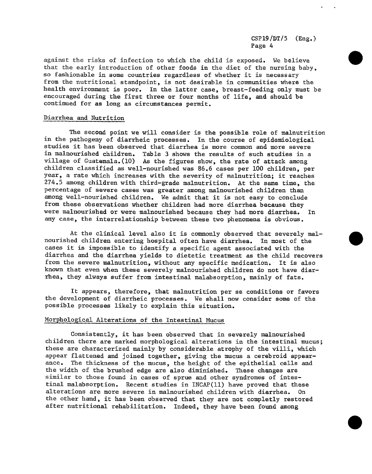against the risks of infection to which the child is exposed. We believe that the early introduction of other foods in the diet of the nursing baby, so fashionable in some countries regardless of whether it is necessary from the nutritional standpoint, is not desirable in communities where the health environment is poor. In the latter case, breast-feeding only must be encouraged during the first three or four months of life, and should be continued for as long **a**s **c**ir**c**umst**a**n**c**e**s** permit.

#### Diarrhea and Nu**trition**

The seco**n**d poi**n**t we will co**n**sider is the possible role of mal**n**u**t**rition in the pathogeny **o**f **d**iarrheic pro**c**esses. In the course of epidemio**l**ogi**c**al studies it h**a**s bee**n** observed that diarrhea is more commo**n** a**nd** more severe in malnourished **c**hildren. Ta**b**le 3 shows the results of s**u**ch studies in a vi**l**lage of Guatema**l**a.(10) As the figures show, the rate of atta**c**k am**o**ng chi**l**dren c**l**assifie**d** as we**ll**-nourished was 86.6 cases per **i**00 **c**hil**d**ren, per year, a rate which increases with the severity of mal**n**utritio**n**; it rea**c**hes 274.5 among children with third-grade maln**u**trition. At the same **t**ime, the percentage of severe cases was gre**a**ter among malnourished children tha**n** among well-nourished children. We admit that it is not easy to co**nc**lude from these observatio**n**s whether chil**d**ren had more di**a**rrhe**a** because they were mal**n**o**u**rished or were malnourished because they had more diarrhea. I**n** any case, the interrelatio**n**ship betwee**n** these two phe**no**mena is obvious.

At the clinical level also it is commo**n**ly observed that severely malnourished childre**n** e**n**tering hospital ofte**n** have diarrhea. In most of the cases it is impossible to ide**n**tify a specific agent **a**ssociated with the diarrhea and the diarrhea yie**l**ds to dietetic trea**t**ment as the child recovers from the severe malnutritio**n**, without any specific medi**c**ation. It is also known that even whe**n** these severely ma**l**no**u**rished childre**n** do not have diarrhea, they always suffer from i**n**testinal malabsorption, mai**n**ly of fats.

It appears, therefore, that malnutritio**n** per se co**nd**i**t**io**n**s or favors the development of diarrheic processes. We sha**ll** now consi**d**er s**o**me of the possible processes likely to explain this si**t**uation.

#### Morphological Alteratio**ns of the In**testi**nal Mucus**

**C**onsiste**n**tly, it has been observed that in severely mal**n**ourishe**d** children there are marked morphological alterations in the intestinal mucus; these are characterized mai**n**ly by considerab**l**e a**t**rophy of the vi**ll**i, whi**c**h appear flattened and joined together, giving the mucus a cerebroid appearance. The thi**c**kness of the mucus, the height of the epithelial cells and the width of the brushed edge are also diminished. These changes are similar to those found in cases of sprue and o**t**her syn**d**romes of intestinal malabsorption. Recent studies in INCAP(II) have proved tha**t** these alterations are more severe in mal**n**ourished **c**hil**d**re**n** with diarrhea. On the other hand, it has been observed that they are not **c**omple**t**ly restored after nutritional rehabilitation. Indeed, they have bee**n** fou**nd** amo**n**g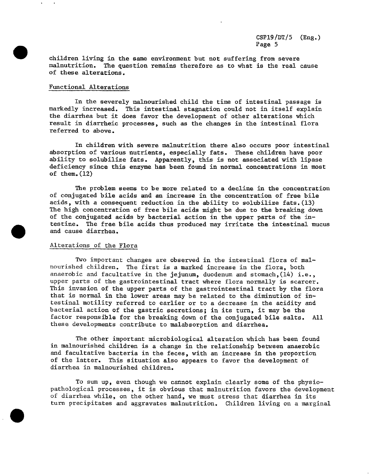chi**l**dren **l**iving in the same environment but not suffering from severe malnutritio**n**. The ques**t**ion remai**n**s therefore as to what is the real cause of these alterations.

#### Functional Alterations

In the severely malnourished child the time of intestinal passage is markedly increased. This intestinal stagnation could not in itself explain the diarrhea but it does favor the development of other alterations which result in diarrheic processes, such as the changes in the intestinal flora referred to above.

In children with severe malnutrition there also occurs poor intestinal absorption of various nutrients, especially fats. These children have poor ability to solubilize fats. Apparently, this is not associated with lipase deficiency since this enzyme has been found in normal concentrations in most of them.  $(12)$ 

The problem seems to be more related to a decline in the concentration of conjugated bile acids and an increase in the concentration of free bile acids, with a consequent reduction in the ability to solubilize fats.(13) The high concentration of free bile acids might be due to the **b**reaking down of the conjugated acids by bacterial action in the upper parts of the intestine. The free **b**ile acids thus produced may irritate the intestinal mucus and cause diarrhea.

#### Alterations of the Flora

Two important changes are observed in the intestinal flora of malnourished children. The first is a marked increase in the flora, both anaerobic and facultative in the jejunum, duodenum and stomach, (14) i.e., upper parts of the gastrointestinal tract where flora normally is scarcer. This invasion of the upper parts of the gastrointestinal tract by the flora that is normal in the lower areas may be related to the diminution of intestinal motility referred to earlier or to a decrease in the aeidity and bacterial action of the gastric secretions; in its turn, it may be the factor responsible for the breaking down of the conjugated bile salts. All these developments contribute to malabsorption and diarrhea.

The other important microbiological alteration which has been found in malnourished children is a change in the relationship between anaero**b**ic and facultative bacteria in the feces, with an increase in the proportion of the latter. This situation also appears to favor the development of diarrhea in malnourished children.

To sum up, even though we cannot explain clearly some of the physiopathological processes, it is obvious that malnutrition favors the development of diarrhea while, on the other hand, we must stress that diarrhea in its turn precipitates and aggravates malnutrition. Children living on a marginal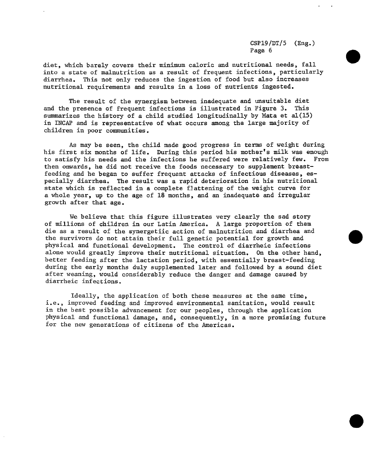diet, which barely covers their minimum caloric and nutritional needs, fall into a state of malnutrition as a result of frequent infections, particularly diarrhea. This not only reduces the ingestion of food but also increases nutritional requirements and results in a loss of nutrients ingested.

The result of the synergism between inadequate and unsuitable diet<br>presence of frequent infections is illustrated in Figure 3. This and the presence of frequent infections is illustrated in Figure 3. summarizes the history of a child studied longitudinally by Mata et  $a1(15)$ in INCAP and is representative of what occurs among the large majority of children in poor communities.

As may be seen, the child made good progress in terms of weight during his first six months of life. During this period his mother's milk was enough<br>to satisfy his needs and the infections he suffered were relatively few. From to satisfy his needs and the infections he suffered were relatively few. then onwards, he did not receive the foods necessary to supplement breastfeeding and he began to suffer frequent attacks of infectious diseases, especially diarrhea. The result was a rapid deterioration in his nutritional state which is reflected in a complete f]attening of the weight curve for a whole year, up to the age of 18 months, and an inadequate and irregular growth after that age.

We believe that this figure illustrates very clearly the sad story of millions of children in our Latin America. A large proportion of them die as a result of the synergetiic action of malnutrition and diarrhea and the survivors do not attain their full genetic potential for growth and physical and functional development. The control of diarrheic infections alone would greatly improve their nutritional situation. On the other hand, better feeding after the lactation period, with essentially breast-feeding during the early months duly supplemented later and followed by a sound diet after weaning, would considerably reduce the danger and damage caused by diarrheic infections.

Ideally, the application of both these measures at the same time, i.e., improved feeding and improved environmental sanitation, would result in the best possible advancement for our peoples, through the application physical and functional damage, and, consequently, in a more promising future for the new generations of citizens of the Americas.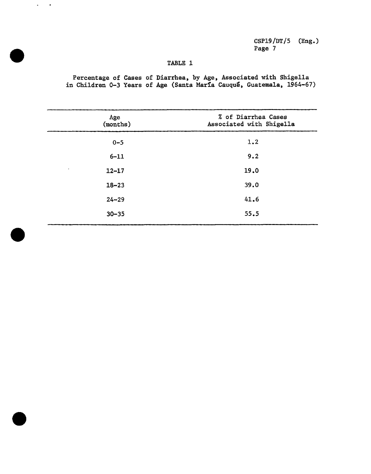# **TA**B**LE** 1

 $\mathcal{L}^{\text{max}}$  $\sim$   $\bullet$ 

> P**e**r**cen**t**a**g**e** o**f Cas**es of **D**i**a**r**rhea**, b**y Age**, **A**sso**c**i**a**t**ed** w**i**t**h Sh**i**g**a**l**l**a** i**n Ch**i**ld**r**en 0-3 Years** of **Age** (**San**t**a** M**ar**f**a Cauqu**\_ **Gua**t**emala**, **19**64-67)

| Age<br>(months)        | % of Diarrhea Cases<br>Associated with Shigella |  |
|------------------------|-------------------------------------------------|--|
| $0 - 5$                | 1.2                                             |  |
| $6 - 11$               | 9.2                                             |  |
| $\bullet$<br>$12 - 17$ | 19.0                                            |  |
| $18 - 23$              | 39.0                                            |  |
| $24 - 29$              | 41.6                                            |  |
| $30 - 35$              | 55.5                                            |  |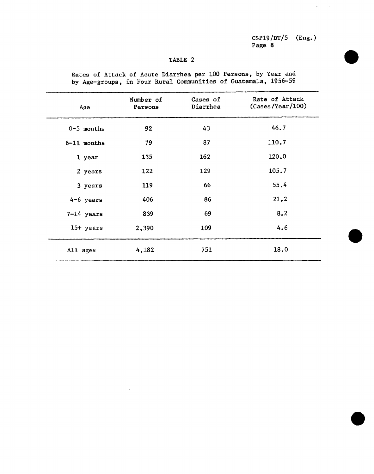# TABLE 2

Number of **Cases of** Rate of Attack Age **Persons** Diarrhea (Cases/Year/100) 0-5 months 92 43 46.7 6**-**11 months 79 87 110.7 1 year 135 162 120.0 2 years 122 129 105.7 3 years **1**19 66 55,4 4-6 years 406 21.2 7-14 years 839 69 8.2 15+ years 2,390 109 4.6 All ages 4,182 751 18.0

Rates of Attack of Acute Diarrhea per i00 Persons, by Year and by Age-groups, in Four Rural Communities of Guatemala, 1956-59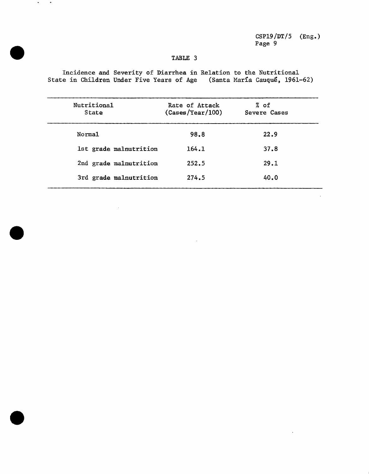## TABLE 3

Incidence and Severity of Diarrhea in Relation to the Nutritional<br>State in Children Under Five Years of Age (Santa María Cauqué, 1961-62)

 $\mathbf{w}$  $\sim$ 

| Nutritional<br>State   | Rate of Attack<br>(Cases/Year/100) | % of<br>Severe Cases |
|------------------------|------------------------------------|----------------------|
| Norma1                 | 98.8                               | 22.9                 |
| 1st grade malnutrition | 164.1                              | 37.8                 |
| 2nd grade malnutrition | 252.5                              | 29.1                 |
| 3rd grade malnutrition | 274.5                              | 40.0                 |

 $\ddot{\phantom{a}}$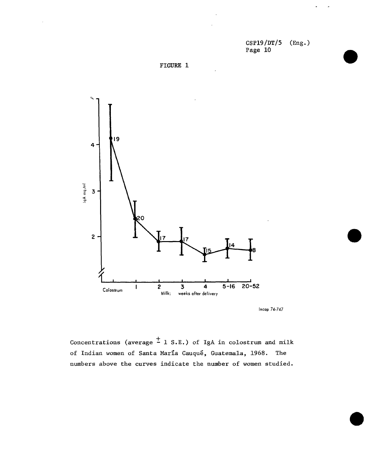CsPIg/DT/5 (Eng.) Page i0





**Incap 74-747**

Concentrations (average  $\frac{+}{-}$  1 S.E.) of IgA in colostrum and milk of Indian women of Santa María Cauqué, Guatemala, 1968. The numbers above the curves indicate the number of women studied.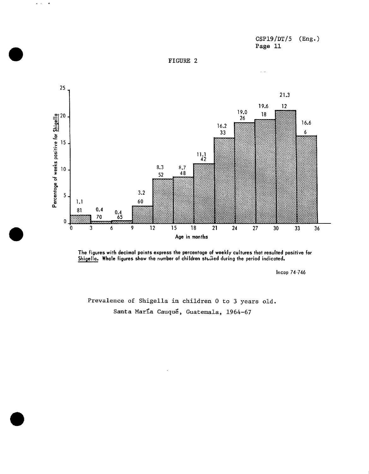



 $\mathcal{A}$  $\omega_{\rm{eff}}$ 



The figures with decimal points express the percentage of weekly cultures that resulted positive for Shigella. Whole figures show the number of children studied during the period indicated.

Incap 74-746

Prevalence of Shigella in children 0 to 3 years old. Santa María Cauqué, Guatemala, 1964-67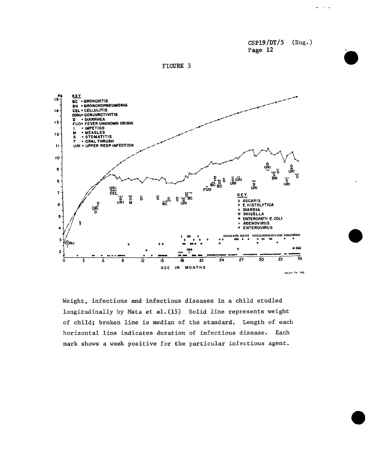$CSP19/DT/5$  $(Eng.)$ Page 12

 $\sim$ 

FIGURE 3



Weight, infections and infectious diseases in a child studied longitudinally by Mata et al. (15) Solid line represents weight of child; broken line is median of the standard. Length of each horizontal line indicates duration of infectious disease. Each mark shows a week positive for the particular infectious agent.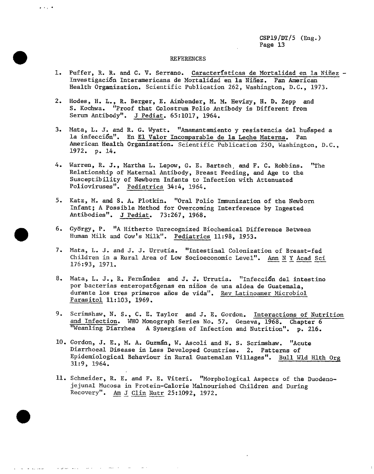#### REFERENCES

 $\bullet$  .  $\bullet$  ,  $\bullet$  ,  $\bullet$ 

- 1. Puffer, R. R. and C. V. Serrano. Caracteristicas de Mortalidad en la Niñez -Investigación Interamericana de Mortalidad en la Niñez. Pan American Health Organization. Scientific Publication 262, Washington, D.C., 1973.
- 2. Hodes, H. L., R. Berger, E. Ainbender, M. M. Hevizy, H. D. Zepp and S. Kochwa. "Proof that Colostrum Polio Antibody is Different from Serum Antibody". J Pedlar. 65:1017, 1964.
- 3. Mata, L. J. and R. G. Wyatt. "Amamantamiento y resistencia del huésped a la infección". En El Valor Incomparable de la Leche Materna. Pan American Health Organization. Scientific Publication 250, Washington, D.C., 1972. p. 14.
- 4. Warren, R. J., Martha L. Lepow, G. E. Bartsch, and F. C. Robbins. "The Relationship of Maternal Antibody, Breast Feeding, and Age to the Susceptibility of Newborn Infants to Infection with Attenuated Polioviruses". Pediatrics 34:4, 1964.
- 5. Katz, M. and S. A. Plotkin. "Oral Polio Immunization of the Newborn Infant; A Possible Method for Overcoming Interference by Ingested Antibodies". J Pediat. 73:267, 1968.
- 6. György, P. "A Hitherto Unrecognized Biochemical Difference Between Human Milk and Cow's Milk". Pediatrics 11:98, 1953.
- 7. Mata, L. J. and J. J. Urrutia. "Intestinal Colonization of Breast-fed Children in a Rural Area of Low Socioeconomic Level". Ann N Y Acad Sci 176:93, 1971.
- 8. Mata, L. J., R. Fernandez and J. J. Urrutia. "Infecci6n del intestino por bacterias enteropatógenas en niños de una aldea de Guatemala, durante los tres primeros años de vida". Rev Latinoamer Microbiol Parasitol 11:103, 1969.
- 9. Scrimshaw, N. S., C. E. Taylor and J. E. Gordon. Interactions of Nutrition and Infection. WHO Monograph Series No. 57. Geneva, 1968. Chapter 6 "Weanling Diarrhea A Synergism of Infection and Nutrition". p. 216.
- I0. Gordon, J. E., M. A. Guzm\_n, W. Ascoli and N. S. Scrimshaw. "Acute Diarrhoeal Disease in Less Developed Countries. 2. Patterns of Epidemiological Behaviour in Rural Guatemalan Villages". Bull Wld Hlth Org 31:9, 1964.
- 11. Schneider, R. E. and F. E. Viteri. "Morphological Aspects of the Duodenojejunal Mucosa in Protein-Calorie Malnourished Children and During Recovery". Am J Clin Nutr 25:1092, 1972.